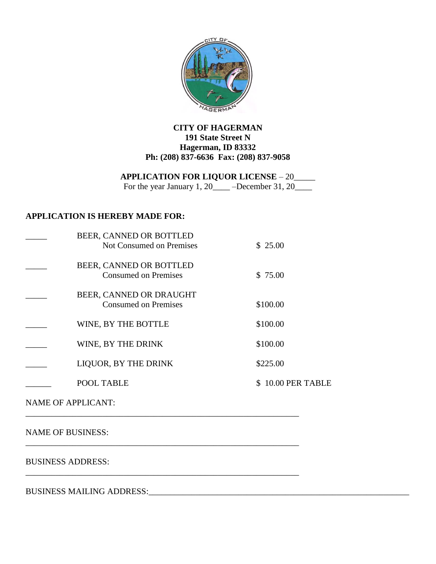

## **CITY OF HAGERMAN 191 State Street N Hagerman, ID 83332 Ph: (208) 837-6636 Fax: (208) 837-9058**

## **APPLICATION FOR LIQUOR LICENSE** – 20\_\_\_\_\_

For the year January 1, 20\_\_\_\_\_ –December 31, 20\_\_\_\_\_

### **APPLICATION IS HEREBY MADE FOR:**

| BEER, CANNED OR BOTTLED     |                   |
|-----------------------------|-------------------|
| Not Consumed on Premises    | \$25.00           |
| BEER, CANNED OR BOTTLED     |                   |
| <b>Consumed on Premises</b> | \$75.00           |
| BEER, CANNED OR DRAUGHT     |                   |
| <b>Consumed on Premises</b> | \$100.00          |
| WINE, BY THE BOTTLE         | \$100.00          |
| WINE, BY THE DRINK          | \$100.00          |
| LIQUOR, BY THE DRINK        | \$225.00          |
| POOL TABLE                  | \$10.00 PER TABLE |
| <b>NAME OF APPLICANT:</b>   |                   |
|                             |                   |

\_\_\_\_\_\_\_\_\_\_\_\_\_\_\_\_\_\_\_\_\_\_\_\_\_\_\_\_\_\_\_\_\_\_\_\_\_\_\_\_\_\_\_\_\_\_\_\_\_\_\_\_\_\_\_\_\_\_\_\_\_\_\_\_

\_\_\_\_\_\_\_\_\_\_\_\_\_\_\_\_\_\_\_\_\_\_\_\_\_\_\_\_\_\_\_\_\_\_\_\_\_\_\_\_\_\_\_\_\_\_\_\_\_\_\_\_\_\_\_\_\_\_\_\_\_\_\_\_

NAME OF BUSINESS:

#### BUSINESS ADDRESS:

BUSINESS MAILING ADDRESS:\_\_\_\_\_\_\_\_\_\_\_\_\_\_\_\_\_\_\_\_\_\_\_\_\_\_\_\_\_\_\_\_\_\_\_\_\_\_\_\_\_\_\_\_\_\_\_\_\_\_\_\_\_\_\_\_\_\_\_\_\_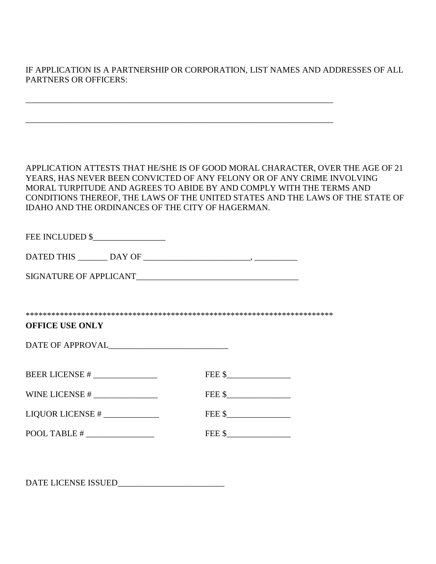# IF APPLICATION IS A PARTNERSHIP OR CORPORATION, LIST NAMES AND ADDRESSES OF ALL PARTNERS OR OFFICERS:

\_\_\_\_\_\_\_\_\_\_\_\_\_\_\_\_\_\_\_\_\_\_\_\_\_\_\_\_\_\_\_\_\_\_\_\_\_\_\_\_\_\_\_\_\_\_\_\_\_\_\_\_\_\_\_\_\_\_\_\_\_\_\_\_\_\_\_\_\_\_\_\_

\_\_\_\_\_\_\_\_\_\_\_\_\_\_\_\_\_\_\_\_\_\_\_\_\_\_\_\_\_\_\_\_\_\_\_\_\_\_\_\_\_\_\_\_\_\_\_\_\_\_\_\_\_\_\_\_\_\_\_\_\_\_\_\_\_\_\_\_\_\_\_\_

APPLICATION ATTESTS THAT HE/SHE IS OF GOOD MORAL CHARACTER, OVER THE AGE OF 21 YEARS, HAS NEVER BEEN CONVICTED OF ANY FELONY OR OF ANY CRIME INVOLVING MORAL TURPITUDE AND AGREES TO ABIDE BY AND COMPLY WITH THE TERMS AND CONDITIONS THEREOF, THE LAWS OF THE UNITED STATES AND THE LAWS OF THE STATE OF IDAHO AND THE ORDINANCES OF THE CITY OF HAGERMAN.

| FEE INCLUDED \$                                                  |                         |                                                                   |  |
|------------------------------------------------------------------|-------------------------|-------------------------------------------------------------------|--|
|                                                                  |                         |                                                                   |  |
|                                                                  |                         |                                                                   |  |
|                                                                  |                         |                                                                   |  |
|                                                                  |                         |                                                                   |  |
| <b>OFFICE USE ONLY</b>                                           |                         |                                                                   |  |
|                                                                  | DATE OF APPROVAL PROVAL |                                                                   |  |
| BEER LICENSE #                                                   |                         | $\text{FEE} \text{ $$\text{2}$}\text{ \textcolor{red}{\bullet}$}$ |  |
|                                                                  |                         | FEE \$                                                            |  |
| LIQUOR LICENSE #                                                 |                         | $\text{FEE}$ \$                                                   |  |
| $\text{POOL TABLE}$ # $\_\_\_\_\_\_\_\_\_\_\_\_\_\_\_\_\_\_\_\_$ |                         |                                                                   |  |
|                                                                  |                         |                                                                   |  |

DATE LICENSE ISSUED\_\_\_\_\_\_\_\_\_\_\_\_\_\_\_\_\_\_\_\_\_\_\_\_\_